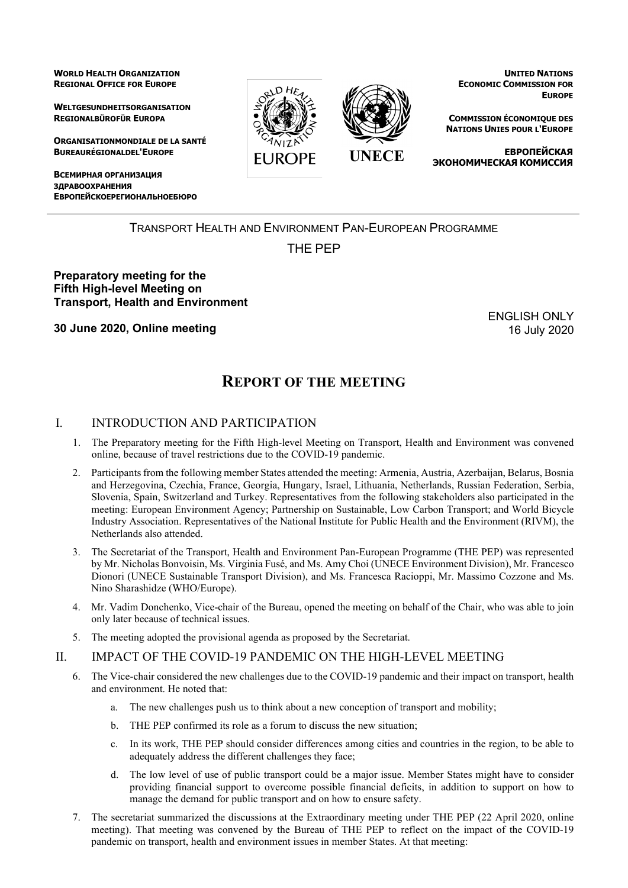**WORLD HEALTH ORGANIZATION REGIONAL OFFICE FOR EUROPE**

**WELTGESUNDHEITSORGANISATION REGIONALBÜROFÜR EUROPA**

**ORGANISATIONMONDIALE DE LA SANTÉ BUREAURÉGIONALDEL'EUROPE**

**ВСЕМИРНАЯ ОРГАНИЗАЦИЯ ЗДРАВООХРАНЕНИЯ ЕВРОПЕЙСКОЕРЕГИОНАЛЬНОЕБЮРО**



**UNITED NATIONS ECONOMIC COMMISSION FOR EUROPE**

**COMMISSION ÉCONOMIQUE DES NATIONS UNIES POUR L'EUROPE**

**ЕВРОПЕЙСКАЯ ЭКОНОМИЧЕСКАЯ КОМИССИЯ**

# TRANSPORT HEALTH AND ENVIRONMENT PAN-EUROPEAN PROGRAMME

# THE PEP

### **Preparatory meeting for the Fifth High-level Meeting on Transport, Health and Environment**

**30 June 2020, Online meeting**

ENGLISH ONLY 16 July 2020

# **REPORT OF THE MEETING**

### I. INTRODUCTION AND PARTICIPATION

- 1. The Preparatory meeting for the Fifth High-level Meeting on Transport, Health and Environment was convened online, because of travel restrictions due to the COVID-19 pandemic.
- 2. Participants from the following member States attended the meeting: Armenia, Austria, Azerbaijan, Belarus, Bosnia and Herzegovina, Czechia, France, Georgia, Hungary, Israel, Lithuania, Netherlands, Russian Federation, Serbia, Slovenia, Spain, Switzerland and Turkey. Representatives from the following stakeholders also participated in the meeting: European Environment Agency; Partnership on Sustainable, Low Carbon Transport; and World Bicycle Industry Association. Representatives of the National Institute for Public Health and the Environment (RIVM), the Netherlands also attended.
- 3. The Secretariat of the Transport, Health and Environment Pan-European Programme (THE PEP) was represented by Mr. Nicholas Bonvoisin, Ms. Virginia Fusé, and Ms. Amy Choi (UNECE Environment Division), Mr. Francesco Dionori (UNECE Sustainable Transport Division), and Ms. Francesca Racioppi, Mr. Massimo Cozzone and Ms. Nino Sharashidze (WHO/Europe).
- 4. Mr. Vadim Donchenko, Vice-chair of the Bureau, opened the meeting on behalf of the Chair, who was able to join only later because of technical issues.
- 5. The meeting adopted the provisional agenda as proposed by the Secretariat.

### II. IMPACT OF THE COVID-19 PANDEMIC ON THE HIGH-LEVEL MEETING

- 6. The Vice-chair considered the new challenges due to the COVID-19 pandemic and their impact on transport, health and environment. He noted that:
	- a. The new challenges push us to think about a new conception of transport and mobility;
	- b. THE PEP confirmed its role as a forum to discuss the new situation;
	- c. In its work, THE PEP should consider differences among cities and countries in the region, to be able to adequately address the different challenges they face;
	- d. The low level of use of public transport could be a major issue. Member States might have to consider providing financial support to overcome possible financial deficits, in addition to support on how to manage the demand for public transport and on how to ensure safety.
- 7. The secretariat summarized the discussions at the Extraordinary meeting under THE PEP (22 April 2020, online meeting). That meeting was convened by the Bureau of THE PEP to reflect on the impact of the COVID-19 pandemic on transport, health and environment issues in member States. At that meeting: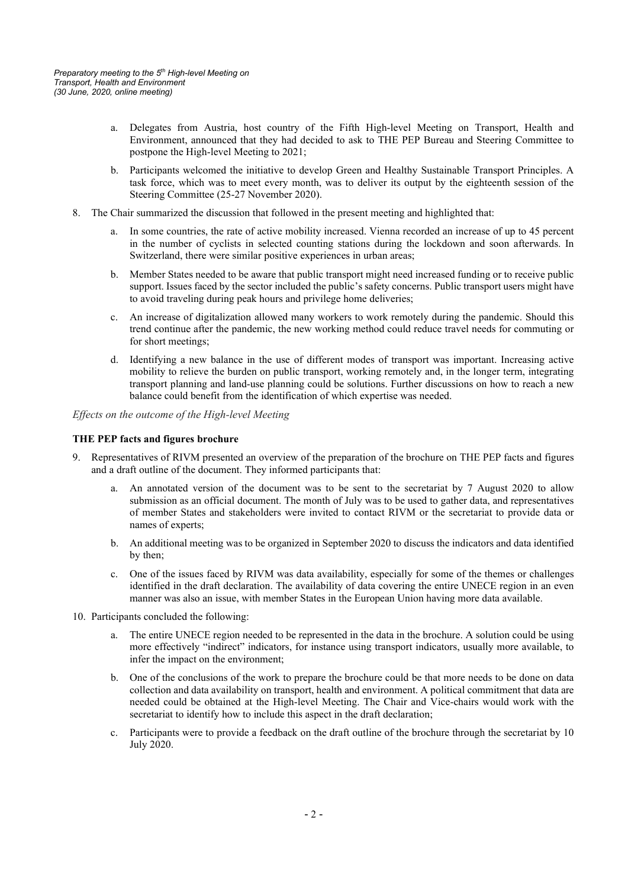- a. Delegates from Austria, host country of the Fifth High-level Meeting on Transport, Health and Environment, announced that they had decided to ask to THE PEP Bureau and Steering Committee to postpone the High-level Meeting to 2021;
- b. Participants welcomed the initiative to develop Green and Healthy Sustainable Transport Principles. A task force, which was to meet every month, was to deliver its output by the eighteenth session of the Steering Committee (25-27 November 2020).
- 8. The Chair summarized the discussion that followed in the present meeting and highlighted that:
	- In some countries, the rate of active mobility increased. Vienna recorded an increase of up to 45 percent in the number of cyclists in selected counting stations during the lockdown and soon afterwards. In Switzerland, there were similar positive experiences in urban areas;
	- b. Member States needed to be aware that public transport might need increased funding or to receive public support. Issues faced by the sector included the public's safety concerns. Public transport users might have to avoid traveling during peak hours and privilege home deliveries;
	- c. An increase of digitalization allowed many workers to work remotely during the pandemic. Should this trend continue after the pandemic, the new working method could reduce travel needs for commuting or for short meetings;
	- d. Identifying a new balance in the use of different modes of transport was important. Increasing active mobility to relieve the burden on public transport, working remotely and, in the longer term, integrating transport planning and land-use planning could be solutions. Further discussions on how to reach a new balance could benefit from the identification of which expertise was needed.

*Effects on the outcome of the High-level Meeting*

### **THE PEP facts and figures brochure**

- 9. Representatives of RIVM presented an overview of the preparation of the brochure on THE PEP facts and figures and a draft outline of the document. They informed participants that:
	- An annotated version of the document was to be sent to the secretariat by 7 August 2020 to allow submission as an official document. The month of July was to be used to gather data, and representatives of member States and stakeholders were invited to contact RIVM or the secretariat to provide data or names of experts;
	- b. An additional meeting was to be organized in September 2020 to discuss the indicators and data identified by then;
	- c. One of the issues faced by RIVM was data availability, especially for some of the themes or challenges identified in the draft declaration. The availability of data covering the entire UNECE region in an even manner was also an issue, with member States in the European Union having more data available.
- 10. Participants concluded the following:
	- a. The entire UNECE region needed to be represented in the data in the brochure. A solution could be using more effectively "indirect" indicators, for instance using transport indicators, usually more available, to infer the impact on the environment;
	- b. One of the conclusions of the work to prepare the brochure could be that more needs to be done on data collection and data availability on transport, health and environment. A political commitment that data are needed could be obtained at the High-level Meeting. The Chair and Vice-chairs would work with the secretariat to identify how to include this aspect in the draft declaration;
	- c. Participants were to provide a feedback on the draft outline of the brochure through the secretariat by 10 July 2020.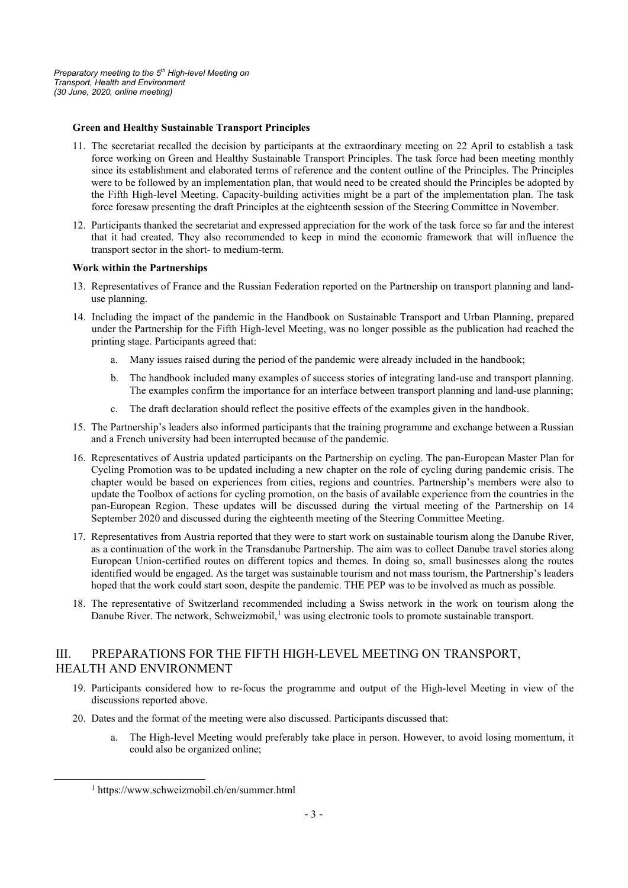### **Green and Healthy Sustainable Transport Principles**

- 11. The secretariat recalled the decision by participants at the extraordinary meeting on 22 April to establish a task force working on Green and Healthy Sustainable Transport Principles. The task force had been meeting monthly since its establishment and elaborated terms of reference and the content outline of the Principles. The Principles were to be followed by an implementation plan, that would need to be created should the Principles be adopted by the Fifth High-level Meeting. Capacity-building activities might be a part of the implementation plan. The task force foresaw presenting the draft Principles at the eighteenth session of the Steering Committee in November.
- 12. Participants thanked the secretariat and expressed appreciation for the work of the task force so far and the interest that it had created. They also recommended to keep in mind the economic framework that will influence the transport sector in the short- to medium-term.

### **Work within the Partnerships**

- 13. Representatives of France and the Russian Federation reported on the Partnership on transport planning and landuse planning.
- 14. Including the impact of the pandemic in the Handbook on Sustainable Transport and Urban Planning, prepared under the Partnership for the Fifth High-level Meeting, was no longer possible as the publication had reached the printing stage. Participants agreed that:
	- a. Many issues raised during the period of the pandemic were already included in the handbook;
	- b. The handbook included many examples of success stories of integrating land-use and transport planning. The examples confirm the importance for an interface between transport planning and land-use planning;
	- c. The draft declaration should reflect the positive effects of the examples given in the handbook.
- 15. The Partnership's leaders also informed participants that the training programme and exchange between a Russian and a French university had been interrupted because of the pandemic.
- 16. Representatives of Austria updated participants on the Partnership on cycling. The pan-European Master Plan for Cycling Promotion was to be updated including a new chapter on the role of cycling during pandemic crisis. The chapter would be based on experiences from cities, regions and countries. Partnership's members were also to update the Toolbox of actions for cycling promotion, on the basis of available experience from the countries in the pan-European Region. These updates will be discussed during the virtual meeting of the Partnership on 14 September 2020 and discussed during the eighteenth meeting of the Steering Committee Meeting.
- 17. Representatives from Austria reported that they were to start work on sustainable tourism along the Danube River, as a continuation of the work in the Transdanube Partnership. The aim was to collect Danube travel stories along European Union-certified routes on different topics and themes. In doing so, small businesses along the routes identified would be engaged. As the target was sustainable tourism and not mass tourism, the Partnership's leaders hoped that the work could start soon, despite the pandemic. THE PEP was to be involved as much as possible.
- 18. The representative of Switzerland recommended including a Swiss network in the work on tourism along the Danube River. The network, Schweizmobil,<sup>[1](#page-2-0)</sup> was using electronic tools to promote sustainable transport.

## III. PREPARATIONS FOR THE FIFTH HIGH-LEVEL MEETING ON TRANSPORT, HEALTH AND ENVIRONMENT

- 19. Participants considered how to re-focus the programme and output of the High-level Meeting in view of the discussions reported above.
- 20. Dates and the format of the meeting were also discussed. Participants discussed that:
	- a. The High-level Meeting would preferably take place in person. However, to avoid losing momentum, it could also be organized online;

<span id="page-2-0"></span><sup>1</sup> https://www.schweizmobil.ch/en/summer.html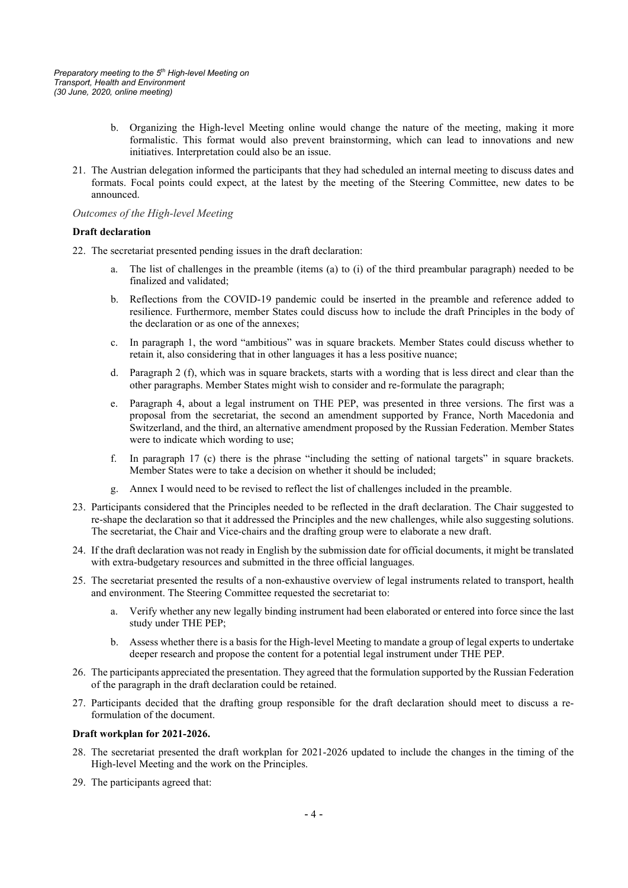- b. Organizing the High-level Meeting online would change the nature of the meeting, making it more formalistic. This format would also prevent brainstorming, which can lead to innovations and new initiatives. Interpretation could also be an issue.
- 21. The Austrian delegation informed the participants that they had scheduled an internal meeting to discuss dates and formats. Focal points could expect, at the latest by the meeting of the Steering Committee, new dates to be announced.

#### *Outcomes of the High-level Meeting*

#### **Draft declaration**

- 22. The secretariat presented pending issues in the draft declaration:
	- The list of challenges in the preamble (items (a) to (i) of the third preambular paragraph) needed to be finalized and validated;
	- b. Reflections from the COVID-19 pandemic could be inserted in the preamble and reference added to resilience. Furthermore, member States could discuss how to include the draft Principles in the body of the declaration or as one of the annexes;
	- c. In paragraph 1, the word "ambitious" was in square brackets. Member States could discuss whether to retain it, also considering that in other languages it has a less positive nuance;
	- d. Paragraph 2 (f), which was in square brackets, starts with a wording that is less direct and clear than the other paragraphs. Member States might wish to consider and re-formulate the paragraph;
	- e. Paragraph 4, about a legal instrument on THE PEP, was presented in three versions. The first was a proposal from the secretariat, the second an amendment supported by France, North Macedonia and Switzerland, and the third, an alternative amendment proposed by the Russian Federation. Member States were to indicate which wording to use;
	- f. In paragraph 17 (c) there is the phrase "including the setting of national targets" in square brackets. Member States were to take a decision on whether it should be included;
	- g. Annex I would need to be revised to reflect the list of challenges included in the preamble.
- 23. Participants considered that the Principles needed to be reflected in the draft declaration. The Chair suggested to re-shape the declaration so that it addressed the Principles and the new challenges, while also suggesting solutions. The secretariat, the Chair and Vice-chairs and the drafting group were to elaborate a new draft.
- 24. If the draft declaration was not ready in English by the submission date for official documents, it might be translated with extra-budgetary resources and submitted in the three official languages.
- 25. The secretariat presented the results of a non-exhaustive overview of legal instruments related to transport, health and environment. The Steering Committee requested the secretariat to:
	- a. Verify whether any new legally binding instrument had been elaborated or entered into force since the last study under THE PEP;
	- b. Assess whether there is a basis for the High-level Meeting to mandate a group of legal experts to undertake deeper research and propose the content for a potential legal instrument under THE PEP.
- 26. The participants appreciated the presentation. They agreed that the formulation supported by the Russian Federation of the paragraph in the draft declaration could be retained.
- 27. Participants decided that the drafting group responsible for the draft declaration should meet to discuss a reformulation of the document.

#### **Draft workplan for 2021-2026.**

- 28. The secretariat presented the draft workplan for 2021-2026 updated to include the changes in the timing of the High-level Meeting and the work on the Principles.
- 29. The participants agreed that: